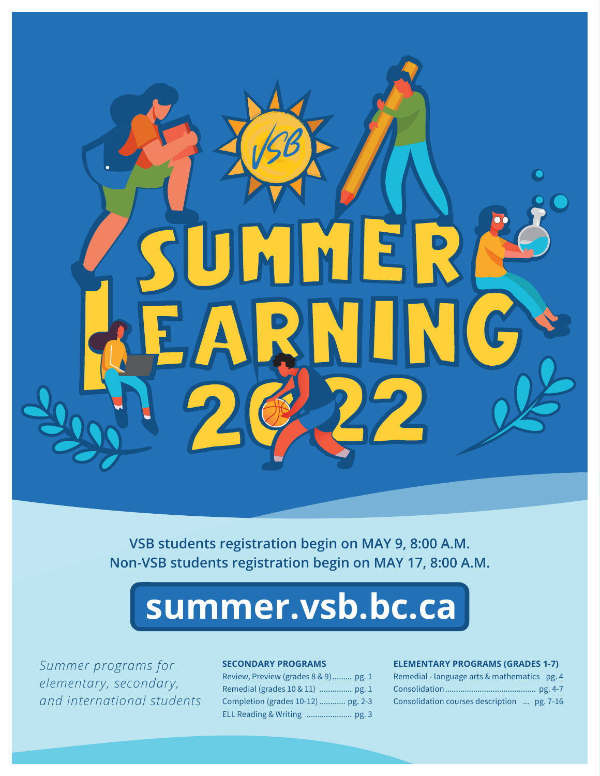

**VSB students registration begin on MAY 9, 8:00 A.M. Non-VSB students registration begin on MAY 17, 8:00 A.M.** 

# **summer.vsb.bc.ca**

*Summer programs for elementary, secondary, and international students*

#### **SECONDARY PROGRAMS**

Review, Preview (grades 8 & 9) ......... pg. 1 Remedial (grades 10 & 11) ............... pg. 1 Completion (grades 10-12) ............ pg. 2-3 ELL Reading & Writing ..................... pg. 3

#### **ELEMENTARY PROGRAMS (GRADES 1-7)**

| Remedial - language arts & mathematics pg. 4 |  |
|----------------------------------------------|--|
|                                              |  |
| Consolidation courses description  pg. 7-16  |  |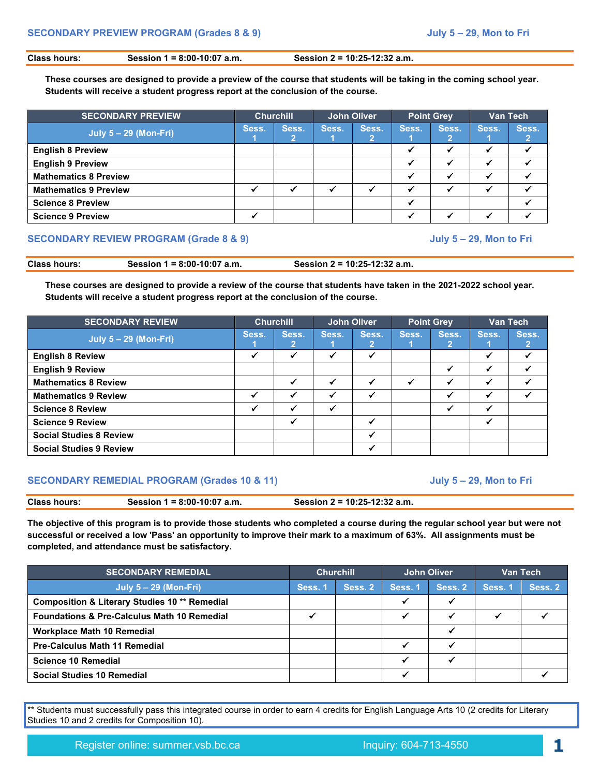**Class hours: Session 1 = 8:00-10:07 a.m. Session 2 = 10:25-12:32 a.m.** 

**These courses are designed to provide a preview of the course that students will be taking in the coming school year. Students will receive a student progress report at the conclusion of the course.**

| <b>SECONDARY PREVIEW</b>     | <b>Churchill</b> |       |       | John Oliver |       | <b>Point Grey</b> | Van Tech |       |
|------------------------------|------------------|-------|-------|-------------|-------|-------------------|----------|-------|
| <b>July 5 - 29 (Mon-Fri)</b> | Sess.            | Sess. | Sess. | Sess.       | Sess. | Sess.             | Sess.    | Sess. |
| <b>English 8 Preview</b>     |                  |       |       |             |       |                   |          |       |
| <b>English 9 Preview</b>     |                  |       |       |             |       |                   |          |       |
| <b>Mathematics 8 Preview</b> |                  |       |       |             |       |                   |          |       |
| <b>Mathematics 9 Preview</b> |                  |       |       |             |       |                   |          |       |
| <b>Science 8 Preview</b>     |                  |       |       |             |       |                   |          |       |
| <b>Science 9 Preview</b>     |                  |       |       |             |       |                   |          |       |

#### **SECONDARY REVIEW PROGRAM (Grade 8 & 9) July 5 – 29, Mon to Fri**

**Class hours: Session 1 = 8:00-10:07 a.m. Session 2 = 10:25-12:32 a.m.** 

**These courses are designed to provide a review of the course that students have taken in the 2021-2022 school year. Students will receive a student progress report at the conclusion of the course.**

| <b>SECONDARY REVIEW</b>        |              | <b>Churchill</b> |       | <b>John Oliver</b> |       | <b>Point Grey</b> |       | Van Tech   |  |
|--------------------------------|--------------|------------------|-------|--------------------|-------|-------------------|-------|------------|--|
| $July 5 - 29 (Mon-Fri)$        |              | Sess.<br>2       | Sess. | Sess.              | Sess. | Sess.             | Sess. | Sess.<br>2 |  |
| <b>English 8 Review</b>        | $\checkmark$ |                  |       |                    |       |                   |       |            |  |
| <b>English 9 Review</b>        |              |                  |       |                    |       | ✔                 |       |            |  |
| <b>Mathematics 8 Review</b>    |              |                  |       |                    |       |                   |       |            |  |
| <b>Mathematics 9 Review</b>    | $\checkmark$ |                  | J     |                    |       | ✔                 |       |            |  |
| <b>Science 8 Review</b>        | ✓            |                  |       |                    |       | ✔                 |       |            |  |
| <b>Science 9 Review</b>        |              |                  |       |                    |       |                   |       |            |  |
| <b>Social Studies 8 Review</b> |              |                  |       |                    |       |                   |       |            |  |
| <b>Social Studies 9 Review</b> |              |                  |       |                    |       |                   |       |            |  |

#### **SECONDARY REMEDIAL PROGRAM (Grades 10 & 11) July 5 – 29, Mon to Fri**

| <b>Class hours:</b> | Session 1 = $8:00-10:07$ a.m. | Session 2 = 10:25-12:32 a.m. |
|---------------------|-------------------------------|------------------------------|
|                     |                               |                              |

**The objective of this program is to provide those students who completed a course during the regular school year but were not successful or received a low 'Pass' an opportunity to improve their mark to a maximum of 63%. All assignments must be completed, and attendance must be satisfactory.**

| <b>SECONDARY REMEDIAL</b>                                | <b>Churchill</b> |         | John Oliver |         |         | Van Tech |
|----------------------------------------------------------|------------------|---------|-------------|---------|---------|----------|
| <b>July 5 – 29 (Mon-Fri)</b>                             | Sess. 1          | Sess. 2 | Sess. 1     | Sess. 2 | Sess. 1 | Sess. 2  |
| <b>Composition &amp; Literary Studies 10 ** Remedial</b> |                  |         |             |         |         |          |
| <b>Foundations &amp; Pre-Calculus Math 10 Remedial</b>   |                  |         |             |         |         |          |
| <b>Workplace Math 10 Remedial</b>                        |                  |         |             |         |         |          |
| <b>Pre-Calculus Math 11 Remedial</b>                     |                  |         |             |         |         |          |
| <b>Science 10 Remedial</b>                               |                  |         |             |         |         |          |
| <b>Social Studies 10 Remedial</b>                        |                  |         |             |         |         |          |

\*\* Students must successfully pass this integrated course in order to earn 4 credits for English Language Arts 10 (2 credits for Literary Studies 10 and 2 credits for Composition 10).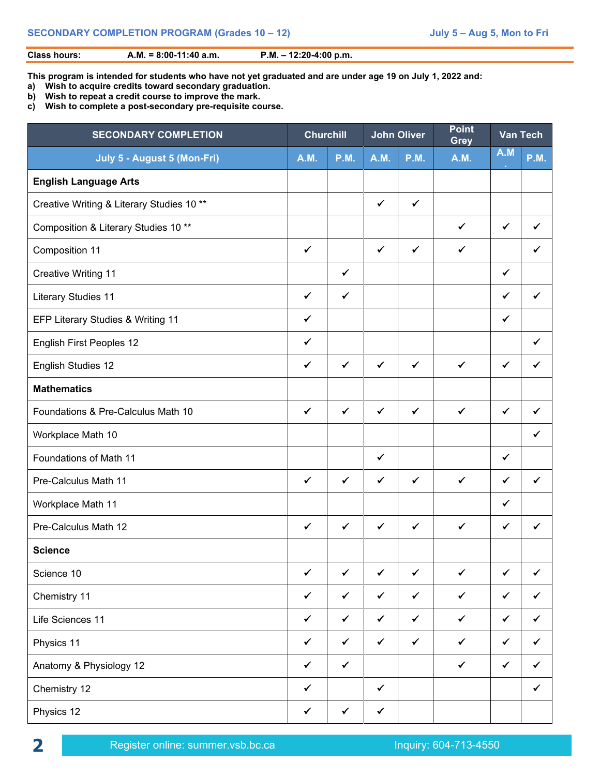#### **Class hours: A.M. = 8:00-11:40 a.m. P.M. – 12:20-4:00 p.m.**

**This program is intended for students who have not yet graduated and are under age 19 on July 1, 2022 and:** 

- **a) Wish to acquire credits toward secondary graduation.**
- **b) Wish to repeat a credit course to improve the mark.**
- **c) Wish to complete a post-secondary pre-requisite course.**

| <b>SECONDARY COMPLETION</b>               | <b>Churchill</b> |              |              | <b>John Oliver</b> | <b>Point</b><br><b>Grey</b> |              | <b>Van Tech</b> |
|-------------------------------------------|------------------|--------------|--------------|--------------------|-----------------------------|--------------|-----------------|
| July 5 - August 5 (Mon-Fri)               | <b>A.M.</b>      | <b>P.M.</b>  | <b>A.M.</b>  | <b>P.M.</b>        | <b>A.M.</b>                 | A.M          | <b>P.M.</b>     |
| <b>English Language Arts</b>              |                  |              |              |                    |                             |              |                 |
| Creative Writing & Literary Studies 10 ** |                  |              | $\checkmark$ | $\checkmark$       |                             |              |                 |
| Composition & Literary Studies 10 **      |                  |              |              |                    | $\checkmark$                | $\checkmark$ | ✓               |
| Composition 11                            | $\checkmark$     |              | $\checkmark$ | $\checkmark$       | ✔                           |              | ✓               |
| <b>Creative Writing 11</b>                |                  | $\checkmark$ |              |                    |                             | $\checkmark$ |                 |
| <b>Literary Studies 11</b>                | $\checkmark$     | ✓            |              |                    |                             | $\checkmark$ | $\checkmark$    |
| EFP Literary Studies & Writing 11         | ✓                |              |              |                    |                             | ✓            |                 |
| <b>English First Peoples 12</b>           | ✓                |              |              |                    |                             |              | ✓               |
| English Studies 12                        | ✓                | $\checkmark$ | $\checkmark$ | $\checkmark$       | $\checkmark$                | $\checkmark$ | ✔               |
| <b>Mathematics</b>                        |                  |              |              |                    |                             |              |                 |
| Foundations & Pre-Calculus Math 10        | $\checkmark$     | $\checkmark$ | $\checkmark$ | $\checkmark$       | $\checkmark$                | $\checkmark$ | ✓               |
| Workplace Math 10                         |                  |              |              |                    |                             |              | ✓               |
| Foundations of Math 11                    |                  |              | $\checkmark$ |                    |                             | $\checkmark$ |                 |
| Pre-Calculus Math 11                      | $\checkmark$     | $\checkmark$ | $\checkmark$ | $\checkmark$       | $\checkmark$                | $\checkmark$ | $\checkmark$    |
| Workplace Math 11                         |                  |              |              |                    |                             | $\checkmark$ |                 |
| Pre-Calculus Math 12                      | $\checkmark$     | $\checkmark$ | $\checkmark$ | $\checkmark$       | $\checkmark$                | $\checkmark$ | $\checkmark$    |
| <b>Science</b>                            |                  |              |              |                    |                             |              |                 |
| Science 10                                | $\checkmark$     | $\checkmark$ | ✓            | $\checkmark$       | ✓                           | ✓            | ✓               |
| Chemistry 11                              | $\checkmark$     | $\checkmark$ | $\checkmark$ | $\checkmark$       | $\checkmark$                | $\checkmark$ | ✓               |
| Life Sciences 11                          | $\checkmark$     | $\checkmark$ | $\checkmark$ | $\checkmark$       | $\checkmark$                | $\checkmark$ | $\checkmark$    |
| Physics 11                                | $\checkmark$     | $\checkmark$ | $\checkmark$ | $\checkmark$       | $\checkmark$                | $\checkmark$ | ✓               |
| Anatomy & Physiology 12                   | ✓                | $\checkmark$ |              |                    | $\checkmark$                | $\checkmark$ | ✓               |
| Chemistry 12                              | $\checkmark$     |              | $\checkmark$ |                    |                             |              | $\checkmark$    |
| Physics 12                                | $\checkmark$     | $\checkmark$ | ✓            |                    |                             |              |                 |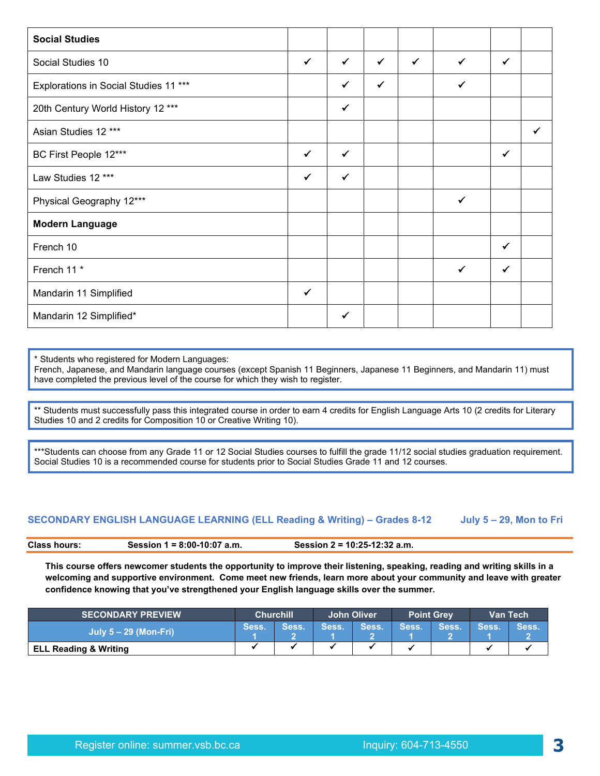| <b>Social Studies</b>                 |              |              |              |              |              |   |  |
|---------------------------------------|--------------|--------------|--------------|--------------|--------------|---|--|
| Social Studies 10                     | $\checkmark$ | $\checkmark$ | $\checkmark$ | $\checkmark$ | $\checkmark$ | ✓ |  |
| Explorations in Social Studies 11 *** |              | $\checkmark$ | $\checkmark$ |              | $\checkmark$ |   |  |
| 20th Century World History 12 ***     |              | $\checkmark$ |              |              |              |   |  |
| Asian Studies 12 ***                  |              |              |              |              |              |   |  |
| BC First People 12***                 | $\checkmark$ | $\checkmark$ |              |              |              | ✓ |  |
| Law Studies 12 ***                    | $\checkmark$ | $\checkmark$ |              |              |              |   |  |
| Physical Geography 12***              |              |              |              |              | $\checkmark$ |   |  |
| <b>Modern Language</b>                |              |              |              |              |              |   |  |
| French 10                             |              |              |              |              |              | ✓ |  |
| French 11*                            |              |              |              |              | $\checkmark$ | ✓ |  |
| Mandarin 11 Simplified                | $\checkmark$ |              |              |              |              |   |  |
| Mandarin 12 Simplified*               |              | ✓            |              |              |              |   |  |

\* Students who registered for Modern Languages:

French, Japanese, and Mandarin language courses (except Spanish 11 Beginners, Japanese 11 Beginners, and Mandarin 11) must have completed the previous level of the course for which they wish to register.

\*\* Students must successfully pass this integrated course in order to earn 4 credits for English Language Arts 10 (2 credits for Literary Studies 10 and 2 credits for Composition 10 or Creative Writing 10).

\*\*\*Students can choose from any Grade 11 or 12 Social Studies courses to fulfill the grade 11/12 social studies graduation requirement. Social Studies 10 is a recommended course for students prior to Social Studies Grade 11 and 12 courses.

#### **SECONDARY ENGLISH LANGUAGE LEARNING (ELL Reading & Writing) – Grades 8-12 July 5 – 29, Mon to Fri**

**Class hours: Session 1 = 8:00-10:07 a.m. Session 2 = 10:25-12:32 a.m.** 

**This course offers newcomer students the opportunity to improve their listening, speaking, reading and writing skills in a welcoming and supportive environment. Come meet new friends, learn more about your community and leave with greater confidence knowing that you've strengthened your English language skills over the summer.**

| <b>SECONDARY PREVIEW</b>         | <b>Churchill</b> |       | John Oliver  |       | <b>Point Grev</b> |       | Van Tech |               |
|----------------------------------|------------------|-------|--------------|-------|-------------------|-------|----------|---------------|
| July $5 - 29$ (Mon-Fri)          | Sess.            | Sess. | <b>Sess.</b> | Sess. | Sess.             | Sess. | Sess.    | <b>Sess</b> ! |
| <b>ELL Reading &amp; Writing</b> |                  |       |              |       |                   |       |          |               |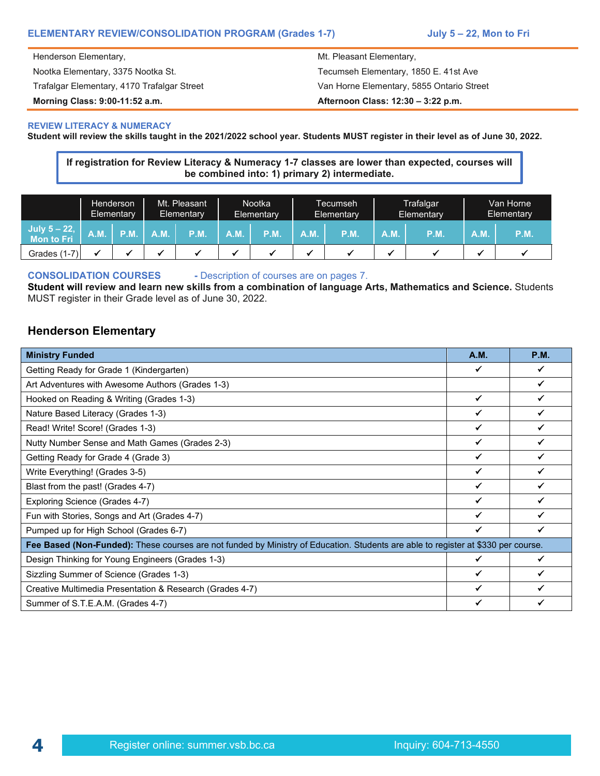#### **ELEMENTARY REVIEW/CONSOLIDATION PROGRAM (Grades 1-7) July 5 – 22, Mon to Fri**

Henderson Elementary, the matrix of the Mt. Pleasant Elementary, the Mt. Pleasant Elementary,

**Morning Class: 9:00-11:52 a.m. Afternoon Class: 12:30 – 3:22 p.m.**

Nootka Elementary, 3375 Nootka St. Tecumseh Elementary, 1850 E. 41st Ave Trafalgar Elementary, 4170 Trafalgar Street Van Horne Elementary, 5855 Ontario Street

#### **REVIEW LITERACY & NUMERACY**

**Student will review the skills taught in the 2021/2022 school year. Students MUST register in their level as of June 30, 2022.** 

**If registration for Review Literacy & Numeracy 1-7 classes are lower than expected, courses will be combined into: 1) primary 2) intermediate.**

|                               |      | Henderson<br>Elementary | Mt. Pleasant<br>Elementary |             | <b>Nootka</b><br>Elementary |             | Tecumseh<br>Elementary |      |      | Trafalgar<br>Elementary |     | Van Horne<br>Elementary |
|-------------------------------|------|-------------------------|----------------------------|-------------|-----------------------------|-------------|------------------------|------|------|-------------------------|-----|-------------------------|
| July $5 - 22$ ,<br>Mon to Fri | A.M. | P.M.                    | <b>A.M.</b>                | <b>P.M.</b> | A.M.                        | <b>P.M.</b> | A.M.                   | P.M. | A.M. | P.M                     | A.M | P.M.                    |
| <b>Grades (1-7)</b>           |      |                         |                            |             |                             |             |                        |      |      |                         |     |                         |

**CONSOLIDATION COURSES -** Description of courses are on pages 7.

**Student will review and learn new skills from a combination of language Arts, Mathematics and Science.** Students MUST register in their Grade level as of June 30, 2022.

#### **Henderson Elementary**

| <b>Ministry Funded</b>                                                                                                            | <b>A.M.</b> | <b>P.M.</b> |
|-----------------------------------------------------------------------------------------------------------------------------------|-------------|-------------|
| Getting Ready for Grade 1 (Kindergarten)                                                                                          |             |             |
| Art Adventures with Awesome Authors (Grades 1-3)                                                                                  |             |             |
| Hooked on Reading & Writing (Grades 1-3)                                                                                          |             |             |
| Nature Based Literacy (Grades 1-3)                                                                                                |             |             |
| Read! Write! Score! (Grades 1-3)                                                                                                  |             |             |
| Nutty Number Sense and Math Games (Grades 2-3)                                                                                    |             |             |
| Getting Ready for Grade 4 (Grade 3)                                                                                               |             |             |
| Write Everything! (Grades 3-5)                                                                                                    |             |             |
| Blast from the past! (Grades 4-7)                                                                                                 |             |             |
| Exploring Science (Grades 4-7)                                                                                                    |             |             |
| Fun with Stories, Songs and Art (Grades 4-7)                                                                                      |             |             |
| Pumped up for High School (Grades 6-7)                                                                                            |             |             |
| Fee Based (Non-Funded): These courses are not funded by Ministry of Education. Students are able to register at \$330 per course. |             |             |
| Design Thinking for Young Engineers (Grades 1-3)                                                                                  |             |             |
| Sizzling Summer of Science (Grades 1-3)                                                                                           |             |             |
| Creative Multimedia Presentation & Research (Grades 4-7)                                                                          |             |             |
| Summer of S.T.E.A.M. (Grades 4-7)                                                                                                 |             |             |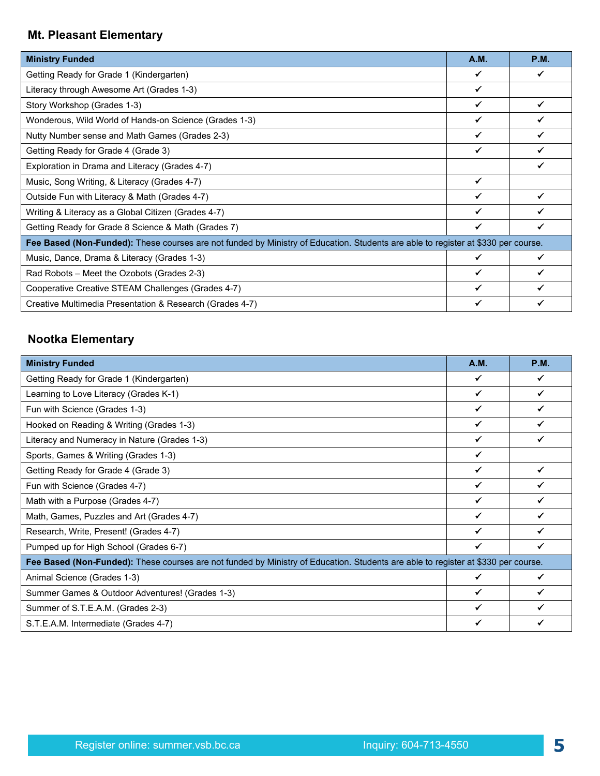## **Mt. Pleasant Elementary**

| <b>Ministry Funded</b>                                                                                                            | <b>A.M.</b> | <b>P.M.</b> |
|-----------------------------------------------------------------------------------------------------------------------------------|-------------|-------------|
| Getting Ready for Grade 1 (Kindergarten)                                                                                          |             | ✔           |
| Literacy through Awesome Art (Grades 1-3)                                                                                         |             |             |
| Story Workshop (Grades 1-3)                                                                                                       |             |             |
| Wonderous, Wild World of Hands-on Science (Grades 1-3)                                                                            |             |             |
| Nutty Number sense and Math Games (Grades 2-3)                                                                                    | ✔           |             |
| Getting Ready for Grade 4 (Grade 3)                                                                                               |             |             |
| Exploration in Drama and Literacy (Grades 4-7)                                                                                    |             |             |
| Music, Song Writing, & Literacy (Grades 4-7)                                                                                      |             |             |
| Outside Fun with Literacy & Math (Grades 4-7)                                                                                     |             |             |
| Writing & Literacy as a Global Citizen (Grades 4-7)                                                                               |             |             |
| Getting Ready for Grade 8 Science & Math (Grades 7)                                                                               | ✔           |             |
| Fee Based (Non-Funded): These courses are not funded by Ministry of Education. Students are able to register at \$330 per course. |             |             |
| Music, Dance, Drama & Literacy (Grades 1-3)                                                                                       |             |             |
| Rad Robots - Meet the Ozobots (Grades 2-3)                                                                                        |             |             |
| Cooperative Creative STEAM Challenges (Grades 4-7)                                                                                |             |             |
| Creative Multimedia Presentation & Research (Grades 4-7)                                                                          |             |             |

# **Nootka Elementary**

| <b>Ministry Funded</b>                                                                                                            | <b>A.M.</b> | <b>P.M.</b> |
|-----------------------------------------------------------------------------------------------------------------------------------|-------------|-------------|
| Getting Ready for Grade 1 (Kindergarten)                                                                                          |             |             |
| Learning to Love Literacy (Grades K-1)                                                                                            |             | √           |
| Fun with Science (Grades 1-3)                                                                                                     |             |             |
| Hooked on Reading & Writing (Grades 1-3)                                                                                          |             |             |
| Literacy and Numeracy in Nature (Grades 1-3)                                                                                      |             |             |
| Sports, Games & Writing (Grades 1-3)                                                                                              |             |             |
| Getting Ready for Grade 4 (Grade 3)                                                                                               |             |             |
| Fun with Science (Grades 4-7)                                                                                                     |             |             |
| Math with a Purpose (Grades 4-7)                                                                                                  |             |             |
| Math, Games, Puzzles and Art (Grades 4-7)                                                                                         |             |             |
| Research, Write, Present! (Grades 4-7)                                                                                            |             |             |
| Pumped up for High School (Grades 6-7)                                                                                            |             | ✔           |
| Fee Based (Non-Funded): These courses are not funded by Ministry of Education. Students are able to register at \$330 per course. |             |             |
| Animal Science (Grades 1-3)                                                                                                       |             | √           |
| Summer Games & Outdoor Adventures! (Grades 1-3)                                                                                   |             |             |
| Summer of S.T.E.A.M. (Grades 2-3)                                                                                                 |             |             |
| S.T.E.A.M. Intermediate (Grades 4-7)                                                                                              |             |             |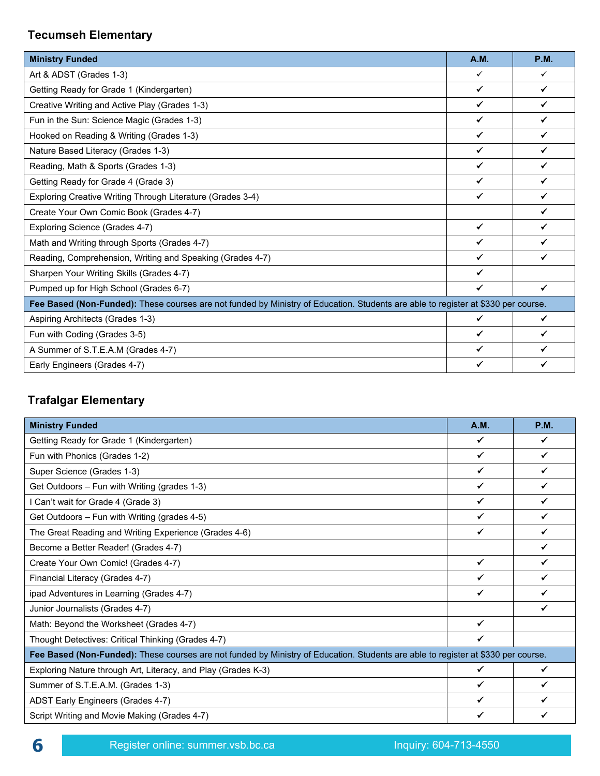# **Tecumseh Elementary**

| <b>Ministry Funded</b>                                                                                                            | <b>A.M.</b>  | <b>P.M.</b>  |  |  |
|-----------------------------------------------------------------------------------------------------------------------------------|--------------|--------------|--|--|
| Art & ADST (Grades 1-3)                                                                                                           | ✓            | $\checkmark$ |  |  |
| Getting Ready for Grade 1 (Kindergarten)                                                                                          | ✔            | ✓            |  |  |
| Creative Writing and Active Play (Grades 1-3)                                                                                     | $\checkmark$ | $\checkmark$ |  |  |
| Fun in the Sun: Science Magic (Grades 1-3)                                                                                        | ✓            | ✔            |  |  |
| Hooked on Reading & Writing (Grades 1-3)                                                                                          | $\checkmark$ | $\checkmark$ |  |  |
| Nature Based Literacy (Grades 1-3)                                                                                                | ✓            | ✔            |  |  |
| Reading, Math & Sports (Grades 1-3)                                                                                               | $\checkmark$ | ✓            |  |  |
| Getting Ready for Grade 4 (Grade 3)                                                                                               | ✓            | ✓            |  |  |
| Exploring Creative Writing Through Literature (Grades 3-4)                                                                        | $\checkmark$ | $\checkmark$ |  |  |
| Create Your Own Comic Book (Grades 4-7)                                                                                           |              | ✓            |  |  |
| Exploring Science (Grades 4-7)                                                                                                    | $\checkmark$ | ✓            |  |  |
| Math and Writing through Sports (Grades 4-7)                                                                                      | ✔            | ✓            |  |  |
| Reading, Comprehension, Writing and Speaking (Grades 4-7)                                                                         | $\checkmark$ | $\checkmark$ |  |  |
| Sharpen Your Writing Skills (Grades 4-7)                                                                                          | ✓            |              |  |  |
| Pumped up for High School (Grades 6-7)                                                                                            | ✓            | $\checkmark$ |  |  |
| Fee Based (Non-Funded): These courses are not funded by Ministry of Education. Students are able to register at \$330 per course. |              |              |  |  |
| Aspiring Architects (Grades 1-3)                                                                                                  | ✓            | $\checkmark$ |  |  |
| Fun with Coding (Grades 3-5)                                                                                                      | ✔            | ✓            |  |  |
| A Summer of S.T.E.A.M (Grades 4-7)                                                                                                | ✔            | ✓            |  |  |
| Early Engineers (Grades 4-7)                                                                                                      |              | ✓            |  |  |

## **Trafalgar Elementary**

| <b>Ministry Funded</b>                                                                                                            | <b>A.M.</b>  | <b>P.M.</b>  |  |
|-----------------------------------------------------------------------------------------------------------------------------------|--------------|--------------|--|
| Getting Ready for Grade 1 (Kindergarten)                                                                                          | ✓            | ✓            |  |
| Fun with Phonics (Grades 1-2)                                                                                                     | $\checkmark$ | $\checkmark$ |  |
| Super Science (Grades 1-3)                                                                                                        | ✓            | ✓            |  |
| Get Outdoors - Fun with Writing (grades 1-3)                                                                                      |              | ✓            |  |
| I Can't wait for Grade 4 (Grade 3)                                                                                                |              |              |  |
| Get Outdoors – Fun with Writing (grades 4-5)                                                                                      | $\checkmark$ | ✔            |  |
| The Great Reading and Writing Experience (Grades 4-6)                                                                             | ✓            | ✓            |  |
| Become a Better Reader! (Grades 4-7)                                                                                              |              | ✓            |  |
| Create Your Own Comic! (Grades 4-7)                                                                                               | $\checkmark$ | $\checkmark$ |  |
| Financial Literacy (Grades 4-7)                                                                                                   | $\checkmark$ | ✓            |  |
| ipad Adventures in Learning (Grades 4-7)                                                                                          | $\checkmark$ | ✓            |  |
| Junior Journalists (Grades 4-7)                                                                                                   |              |              |  |
| Math: Beyond the Worksheet (Grades 4-7)                                                                                           | $\checkmark$ |              |  |
| Thought Detectives: Critical Thinking (Grades 4-7)                                                                                | ✓            |              |  |
| Fee Based (Non-Funded): These courses are not funded by Ministry of Education. Students are able to register at \$330 per course. |              |              |  |
| Exploring Nature through Art, Literacy, and Play (Grades K-3)                                                                     | ✓            | ✓            |  |
| Summer of S.T.E.A.M. (Grades 1-3)                                                                                                 | $\checkmark$ | ✔            |  |
| ADST Early Engineers (Grades 4-7)                                                                                                 | ✓            | ✔            |  |
| Script Writing and Movie Making (Grades 4-7)                                                                                      |              |              |  |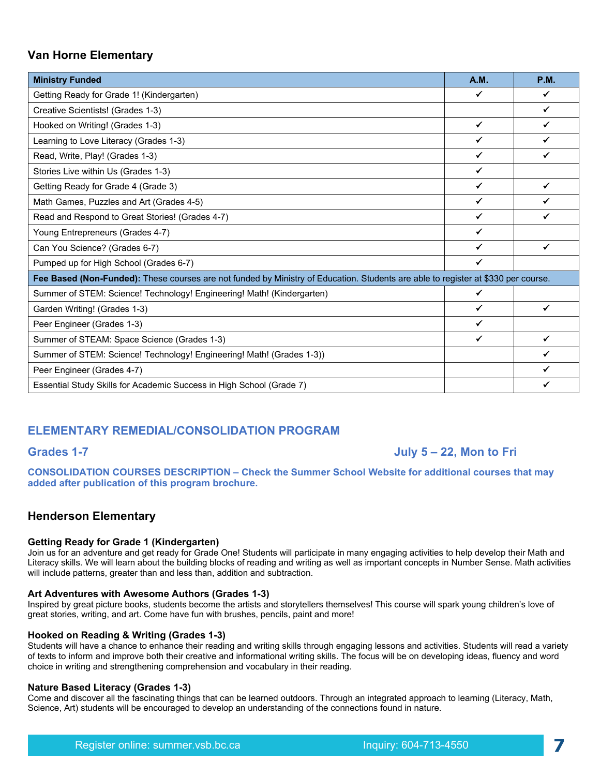#### **Van Horne Elementary**

| <b>Ministry Funded</b>                                                                                                            | <b>A.M.</b>  | <b>P.M.</b>  |  |  |
|-----------------------------------------------------------------------------------------------------------------------------------|--------------|--------------|--|--|
| Getting Ready for Grade 1! (Kindergarten)                                                                                         | ✓            | ✓            |  |  |
| Creative Scientists! (Grades 1-3)                                                                                                 |              | $\checkmark$ |  |  |
| Hooked on Writing! (Grades 1-3)                                                                                                   | ✓            | ✔            |  |  |
| Learning to Love Literacy (Grades 1-3)                                                                                            | ✔            | ✔            |  |  |
| Read, Write, Play! (Grades 1-3)                                                                                                   | ✓            | $\checkmark$ |  |  |
| Stories Live within Us (Grades 1-3)                                                                                               | ✓            |              |  |  |
| Getting Ready for Grade 4 (Grade 3)                                                                                               | ✓            | $\checkmark$ |  |  |
| Math Games, Puzzles and Art (Grades 4-5)                                                                                          | ✔            |              |  |  |
| Read and Respond to Great Stories! (Grades 4-7)                                                                                   | ✓            | ✓            |  |  |
| Young Entrepreneurs (Grades 4-7)                                                                                                  | ✓            |              |  |  |
| Can You Science? (Grades 6-7)                                                                                                     | ✔            | $\checkmark$ |  |  |
| Pumped up for High School (Grades 6-7)                                                                                            | ✓            |              |  |  |
| Fee Based (Non-Funded): These courses are not funded by Ministry of Education. Students are able to register at \$330 per course. |              |              |  |  |
| Summer of STEM: Science! Technology! Engineering! Math! (Kindergarten)                                                            | ✔            |              |  |  |
| Garden Writing! (Grades 1-3)                                                                                                      | ✓            | $\checkmark$ |  |  |
| Peer Engineer (Grades 1-3)                                                                                                        | ✔            |              |  |  |
| Summer of STEAM: Space Science (Grades 1-3)                                                                                       | $\checkmark$ | $\checkmark$ |  |  |
| Summer of STEM: Science! Technology! Engineering! Math! (Grades 1-3))                                                             |              | $\checkmark$ |  |  |
| Peer Engineer (Grades 4-7)                                                                                                        |              |              |  |  |
| Essential Study Skills for Academic Success in High School (Grade 7)                                                              |              |              |  |  |

## **ELEMENTARY REMEDIAL/CONSOLIDATION PROGRAM**

## **Grades 1-7 July 5 – 22, Mon to Fri**

**CONSOLIDATION COURSES DESCRIPTION – Check the Summer School Website for additional courses that may added after publication of this program brochure.**

## **Henderson Elementary**

#### **Getting Ready for Grade 1 (Kindergarten)**

Join us for an adventure and get ready for Grade One! Students will participate in many engaging activities to help develop their Math and Literacy skills. We will learn about the building blocks of reading and writing as well as important concepts in Number Sense. Math activities will include patterns, greater than and less than, addition and subtraction. 

#### **Art Adventures with Awesome Authors (Grades 1-3)**

Inspired by great picture books, students become the artists and storytellers themselves! This course will spark young children's love of great stories, writing, and art. Come have fun with brushes, pencils, paint and more!

#### **Hooked on Reading & Writing (Grades 1-3)**

Students will have a chance to enhance their reading and writing skills through engaging lessons and activities. Students will read a variety of texts to inform and improve both their creative and informational writing skills. The focus will be on developing ideas, fluency and word choice in writing and strengthening comprehension and vocabulary in their reading.

#### **Nature Based Literacy (Grades 1-3)**

Come and discover all the fascinating things that can be learned outdoors. Through an integrated approach to learning (Literacy, Math, Science, Art) students will be encouraged to develop an understanding of the connections found in nature.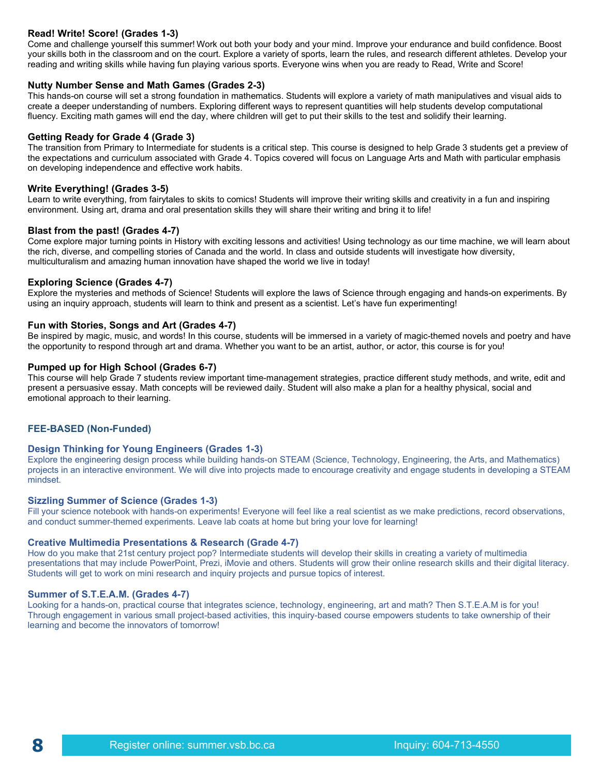#### **Read! Write! Score! (Grades 1-3)**

Come and challenge yourself this summer! Work out both your body and your mind. Improve your endurance and build confidence. Boost your skills both in the classroom and on the court. Explore a variety of sports, learn the rules, and research different athletes. Develop your reading and writing skills while having fun playing various sports. Everyone wins when you are ready to Read, Write and Score!

#### **Nutty Number Sense and Math Games (Grades 2-3)**

This hands-on course will set a strong foundation in mathematics. Students will explore a variety of math manipulatives and visual aids to create a deeper understanding of numbers. Exploring different ways to represent quantities will help students develop computational fluency. Exciting math games will end the day, where children will get to put their skills to the test and solidify their learning.

#### **Getting Ready for Grade 4 (Grade 3)**

The transition from Primary to Intermediate for students is a critical step. This course is designed to help Grade 3 students get a preview of the expectations and curriculum associated with Grade 4. Topics covered will focus on Language Arts and Math with particular emphasis on developing independence and effective work habits.

#### **Write Everything! (Grades 3-5)**

Learn to write everything, from fairytales to skits to comics! Students will improve their writing skills and creativity in a fun and inspiring environment. Using art, drama and oral presentation skills they will share their writing and bring it to life!

#### **Blast from the past! (Grades 4-7)**

Come explore major turning points in History with exciting lessons and activities! Using technology as our time machine, we will learn about the rich, diverse, and compelling stories of Canada and the world. In class and outside students will investigate how diversity, multiculturalism and amazing human innovation have shaped the world we live in today!

#### **Exploring Science (Grades 4-7)**

Explore the mysteries and methods of Science! Students will explore the laws of Science through engaging and hands-on experiments. By using an inquiry approach, students will learn to think and present as a scientist. Let's have fun experimenting!

#### **Fun with Stories, Songs and Art (Grades 4-7)**

Be inspired by magic, music, and words! In this course, students will be immersed in a variety of magic-themed novels and poetry and have the opportunity to respond through art and drama. Whether you want to be an artist, author, or actor, this course is for you!

#### **Pumped up for High School (Grades 6-7)**

This course will help Grade 7 students review important time-management strategies, practice different study methods, and write, edit and present a persuasive essay. Math concepts will be reviewed daily. Student will also make a plan for a healthy physical, social and emotional approach to their learning.  

#### **FEE-BASED (Non-Funded)**

#### **Design Thinking for Young Engineers (Grades 1-3)**

Explore the engineering design process while building hands-on STEAM (Science, Technology, Engineering, the Arts, and Mathematics) projects in an interactive environment. We will dive into projects made to encourage creativity and engage students in developing a STEAM mindset.

#### **Sizzling Summer of Science (Grades 1-3)**

Fill your science notebook with hands-on experiments! Everyone will feel like a real scientist as we make predictions, record observations, and conduct summer-themed experiments. Leave lab coats at home but bring your love for learning!

#### **Creative Multimedia Presentations & Research (Grade 4-7)**

How do you make that 21st century project pop? Intermediate students will develop their skills in creating a variety of multimedia presentations that may include PowerPoint, Prezi, iMovie and others. Students will grow their online research skills and their digital literacy. Students will get to work on mini research and inquiry projects and pursue topics of interest.

#### **Summer of S.T.E.A.M. (Grades 4-7)**

Looking for a hands-on, practical course that integrates science, technology, engineering, art and math? Then S.T.E.A.M is for you! Through engagement in various small project-based activities, this inquiry-based course empowers students to take ownership of their learning and become the innovators of tomorrow!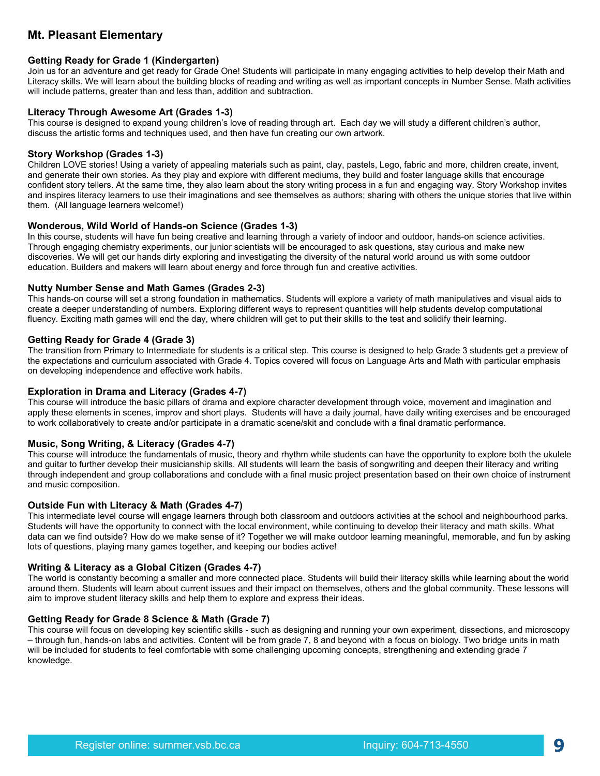## **Mt. Pleasant Elementary**

#### **Getting Ready for Grade 1 (Kindergarten)**

Join us for an adventure and get ready for Grade One! Students will participate in many engaging activities to help develop their Math and Literacy skills. We will learn about the building blocks of reading and writing as well as important concepts in Number Sense. Math activities will include patterns, greater than and less than, addition and subtraction. 

#### **Literacy Through Awesome Art (Grades 1-3)**

This course is designed to expand young children's love of reading through art. Each day we will study a different children's author, discuss the artistic forms and techniques used, and then have fun creating our own artwork.

#### **Story Workshop (Grades 1-3)**

Children LOVE stories! Using a variety of appealing materials such as paint, clay, pastels, Lego, fabric and more, children create, invent, and generate their own stories. As they play and explore with different mediums, they build and foster language skills that encourage confident story tellers. At the same time, they also learn about the story writing process in a fun and engaging way. Story Workshop invites and inspires literacy learners to use their imaginations and see themselves as authors; sharing with others the unique stories that live within them. (All language learners welcome!)

#### **Wonderous, Wild World of Hands-on Science (Grades 1-3)**

In this course, students will have fun being creative and learning through a variety of indoor and outdoor, hands-on science activities. Through engaging chemistry experiments, our junior scientists will be encouraged to ask questions, stay curious and make new discoveries. We will get our hands dirty exploring and investigating the diversity of the natural world around us with some outdoor education. Builders and makers will learn about energy and force through fun and creative activities.

#### **Nutty Number Sense and Math Games (Grades 2-3)**

This hands-on course will set a strong foundation in mathematics. Students will explore a variety of math manipulatives and visual aids to create a deeper understanding of numbers. Exploring different ways to represent quantities will help students develop computational fluency. Exciting math games will end the day, where children will get to put their skills to the test and solidify their learning.

#### **Getting Ready for Grade 4 (Grade 3)**

The transition from Primary to Intermediate for students is a critical step. This course is designed to help Grade 3 students get a preview of the expectations and curriculum associated with Grade 4. Topics covered will focus on Language Arts and Math with particular emphasis on developing independence and effective work habits.

#### **Exploration in Drama and Literacy (Grades 4-7)**

This course will introduce the basic pillars of drama and explore character development through voice, movement and imagination and apply these elements in scenes, improv and short plays. Students will have a daily journal, have daily writing exercises and be encouraged to work collaboratively to create and/or participate in a dramatic scene/skit and conclude with a final dramatic performance.

#### **Music, Song Writing, & Literacy (Grades 4-7)**

This course will introduce the fundamentals of music, theory and rhythm while students can have the opportunity to explore both the ukulele and guitar to further develop their musicianship skills. All students will learn the basis of songwriting and deepen their literacy and writing through independent and group collaborations and conclude with a final music project presentation based on their own choice of instrument and music composition.

#### **Outside Fun with Literacy & Math (Grades 4-7)**

This intermediate level course will engage learners through both classroom and outdoors activities at the school and neighbourhood parks. Students will have the opportunity to connect with the local environment, while continuing to develop their literacy and math skills. What data can we find outside? How do we make sense of it? Together we will make outdoor learning meaningful, memorable, and fun by asking lots of questions, playing many games together, and keeping our bodies active!

#### **Writing & Literacy as a Global Citizen (Grades 4-7)**

The world is constantly becoming a smaller and more connected place. Students will build their literacy skills while learning about the world around them. Students will learn about current issues and their impact on themselves, others and the global community. These lessons will aim to improve student literacy skills and help them to explore and express their ideas.

#### **Getting Ready for Grade 8 Science & Math (Grade 7)**

This course will focus on developing key scientific skills - such as designing and running your own experiment, dissections, and microscopy – through fun, hands-on labs and activities. Content will be from grade 7, 8 and beyond with a focus on biology. Two bridge units in math will be included for students to feel comfortable with some challenging upcoming concepts, strengthening and extending grade 7 knowledge.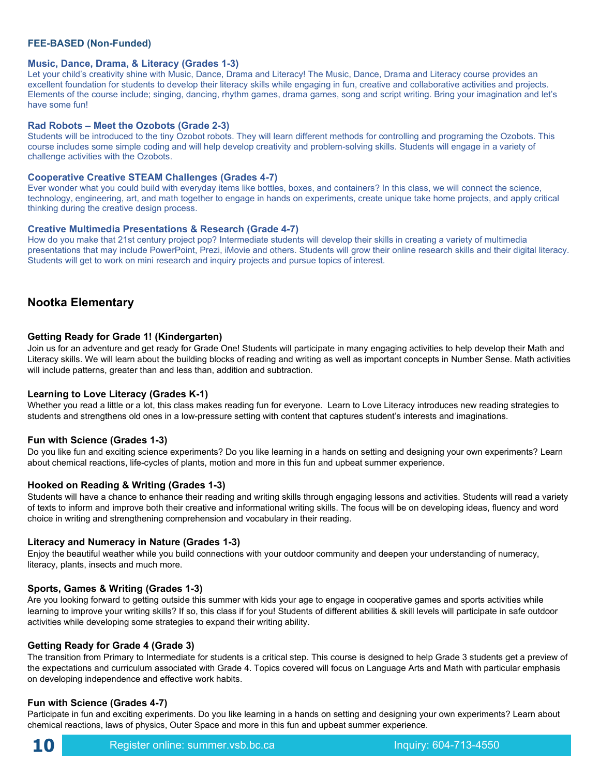#### **FEE-BASED (Non-Funded)**

#### **Music, Dance, Drama, & Literacy (Grades 1-3)**

Let your child's creativity shine with Music, Dance, Drama and Literacy! The Music, Dance, Drama and Literacy course provides an excellent foundation for students to develop their literacy skills while engaging in fun, creative and collaborative activities and projects. Elements of the course include; singing, dancing, rhythm games, drama games, song and script writing. Bring your imagination and let's have some fun!

#### **Rad Robots – Meet the Ozobots (Grade 2-3)**

Students will be introduced to the tiny Ozobot robots. They will learn different methods for controlling and programing the Ozobots. This course includes some simple coding and will help develop creativity and problem-solving skills. Students will engage in a variety of challenge activities with the Ozobots.

#### **Cooperative Creative STEAM Challenges (Grades 4-7)**

Ever wonder what you could build with everyday items like bottles, boxes, and containers? In this class, we will connect the science, technology, engineering, art, and math together to engage in hands on experiments, create unique take home projects, and apply critical thinking during the creative design process.

#### **Creative Multimedia Presentations & Research (Grade 4-7)**

How do you make that 21st century project pop? Intermediate students will develop their skills in creating a variety of multimedia presentations that may include PowerPoint, Prezi, iMovie and others. Students will grow their online research skills and their digital literacy. Students will get to work on mini research and inquiry projects and pursue topics of interest.

#### **Nootka Elementary**

#### **Getting Ready for Grade 1! (Kindergarten)**

Join us for an adventure and get ready for Grade One! Students will participate in many engaging activities to help develop their Math and Literacy skills. We will learn about the building blocks of reading and writing as well as important concepts in Number Sense. Math activities will include patterns, greater than and less than, addition and subtraction.

#### **Learning to Love Literacy (Grades K-1)**

Whether you read a little or a lot, this class makes reading fun for everyone. Learn to Love Literacy introduces new reading strategies to students and strengthens old ones in a low-pressure setting with content that captures student's interests and imaginations.

#### **Fun with Science (Grades 1-3)**

Do you like fun and exciting science experiments? Do you like learning in a hands on setting and designing your own experiments? Learn about chemical reactions, life-cycles of plants, motion and more in this fun and upbeat summer experience.

#### **Hooked on Reading & Writing (Grades 1-3)**

Students will have a chance to enhance their reading and writing skills through engaging lessons and activities. Students will read a variety of texts to inform and improve both their creative and informational writing skills. The focus will be on developing ideas, fluency and word choice in writing and strengthening comprehension and vocabulary in their reading.

#### **Literacy and Numeracy in Nature (Grades 1-3)**

Enjoy the beautiful weather while you build connections with your outdoor community and deepen your understanding of numeracy, literacy, plants, insects and much more.

#### **Sports, Games & Writing (Grades 1-3)**

Are you looking forward to getting outside this summer with kids your age to engage in cooperative games and sports activities while learning to improve your writing skills? If so, this class if for you! Students of different abilities & skill levels will participate in safe outdoor activities while developing some strategies to expand their writing ability.

#### **Getting Ready for Grade 4 (Grade 3)**

The transition from Primary to Intermediate for students is a critical step. This course is designed to help Grade 3 students get a preview of the expectations and curriculum associated with Grade 4. Topics covered will focus on Language Arts and Math with particular emphasis on developing independence and effective work habits. 

#### **Fun with Science (Grades 4-7)**

Participate in fun and exciting experiments. Do you like learning in a hands on setting and designing your own experiments? Learn about chemical reactions, laws of physics, Outer Space and more in this fun and upbeat summer experience.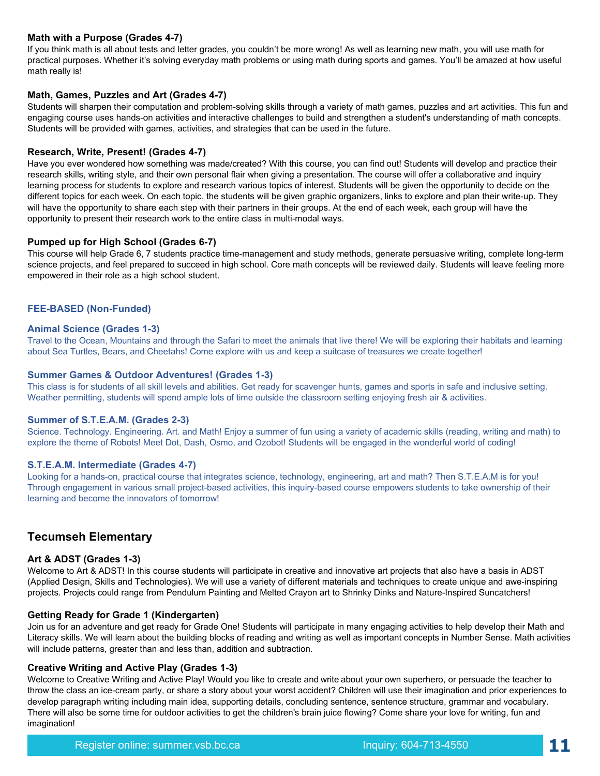#### **Math with a Purpose (Grades 4-7)**

If you think math is all about tests and letter grades, you couldn't be more wrong! As well as learning new math, you will use math for practical purposes. Whether it's solving everyday math problems or using math during sports and games. You'll be amazed at how useful math really is!

#### **Math, Games, Puzzles and Art (Grades 4-7)**

Students will sharpen their computation and problem-solving skills through a variety of math games, puzzles and art activities. This fun and engaging course uses hands-on activities and interactive challenges to build and strengthen a student's understanding of math concepts. Students will be provided with games, activities, and strategies that can be used in the future.

#### **Research, Write, Present! (Grades 4-7)**

Have you ever wondered how something was made/created? With this course, you can find out! Students will develop and practice their research skills, writing style, and their own personal flair when giving a presentation. The course will offer a collaborative and inquiry learning process for students to explore and research various topics of interest. Students will be given the opportunity to decide on the different topics for each week. On each topic, the students will be given graphic organizers, links to explore and plan their write-up. They will have the opportunity to share each step with their partners in their groups. At the end of each week, each group will have the opportunity to present their research work to the entire class in multi-modal ways.

#### **Pumped up for High School (Grades 6-7)**

This course will help Grade 6, 7 students practice time-management and study methods, generate persuasive writing, complete long-term science projects, and feel prepared to succeed in high school. Core math concepts will be reviewed daily. Students will leave feeling more empowered in their role as a high school student.

#### **FEE-BASED (Non-Funded)**

#### **Animal Science (Grades 1-3)**

Travel to the Ocean, Mountains and through the Safari to meet the animals that live there! We will be exploring their habitats and learning about Sea Turtles, Bears, and Cheetahs! Come explore with us and keep a suitcase of treasures we create together!

#### **Summer Games & Outdoor Adventures! (Grades 1-3)**

This class is for students of all skill levels and abilities. Get ready for scavenger hunts, games and sports in safe and inclusive setting. Weather permitting, students will spend ample lots of time outside the classroom setting enjoying fresh air & activities.

#### **Summer of S.T.E.A.M. (Grades 2-3)**

Science. Technology. Engineering. Art. and Math! Enjoy a summer of fun using a variety of academic skills (reading, writing and math) to explore the theme of Robots! Meet Dot, Dash, Osmo, and Ozobot! Students will be engaged in the wonderful world of coding!

#### **S.T.E.A.M. Intermediate (Grades 4-7)**

Looking for a hands-on, practical course that integrates science, technology, engineering, art and math? Then S.T.E.A.M is for you! Through engagement in various small project-based activities, this inquiry-based course empowers students to take ownership of their learning and become the innovators of tomorrow! 

#### **Tecumseh Elementary**

#### **Art & ADST (Grades 1-3)**

Welcome to Art & ADST! In this course students will participate in creative and innovative art projects that also have a basis in ADST (Applied Design, Skills and Technologies). We will use a variety of different materials and techniques to create unique and awe-inspiring projects. Projects could range from Pendulum Painting and Melted Crayon art to Shrinky Dinks and Nature-Inspired Suncatchers!

#### **Getting Ready for Grade 1 (Kindergarten)**

Join us for an adventure and get ready for Grade One! Students will participate in many engaging activities to help develop their Math and Literacy skills. We will learn about the building blocks of reading and writing as well as important concepts in Number Sense. Math activities will include patterns, greater than and less than, addition and subtraction.

#### **Creative Writing and Active Play (Grades 1-3)**

Welcome to Creative Writing and Active Play! Would you like to create and write about your own superhero, or persuade the teacher to throw the class an ice-cream party, or share a story about your worst accident? Children will use their imagination and prior experiences to develop paragraph writing including main idea, supporting details, concluding sentence, sentence structure, grammar and vocabulary. There will also be some time for outdoor activities to get the children's brain juice flowing? Come share your love for writing, fun and imagination!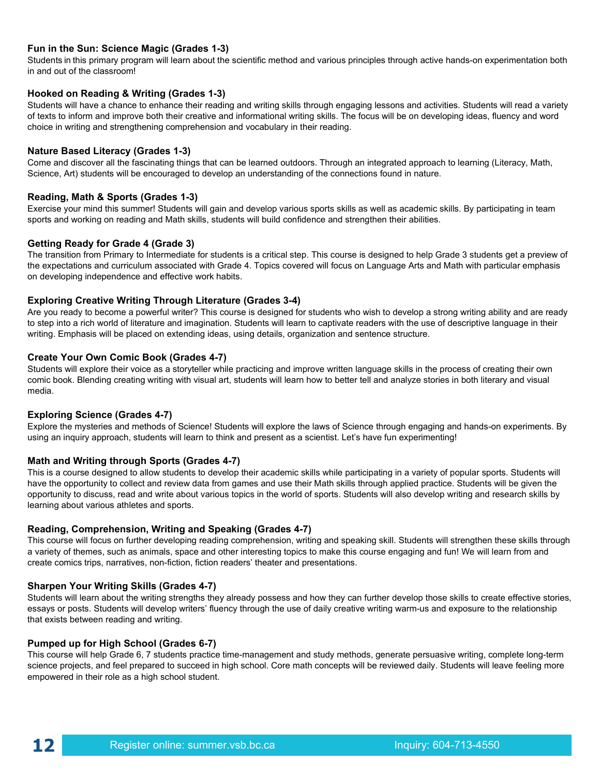#### **Fun in the Sun: Science Magic (Grades 1-3)**

Students in this primary program will learn about the scientific method and various principles through active hands-on experimentation both in and out of the classroom!

#### **Hooked on Reading & Writing (Grades 1-3)**

Students will have a chance to enhance their reading and writing skills through engaging lessons and activities. Students will read a variety of texts to inform and improve both their creative and informational writing skills. The focus will be on developing ideas, fluency and word choice in writing and strengthening comprehension and vocabulary in their reading.

#### **Nature Based Literacy (Grades 1-3)**

Come and discover all the fascinating things that can be learned outdoors. Through an integrated approach to learning (Literacy, Math, Science, Art) students will be encouraged to develop an understanding of the connections found in nature.

#### **Reading, Math & Sports (Grades 1-3)**

Exercise your mind this summer! Students will gain and develop various sports skills as well as academic skills. By participating in team sports and working on reading and Math skills, students will build confidence and strengthen their abilities.

#### **Getting Ready for Grade 4 (Grade 3)**

The transition from Primary to Intermediate for students is a critical step. This course is designed to help Grade 3 students get a preview of the expectations and curriculum associated with Grade 4. Topics covered will focus on Language Arts and Math with particular emphasis on developing independence and effective work habits. 

#### **Exploring Creative Writing Through Literature (Grades 3-4)**

Are you ready to become a powerful writer? This course is designed for students who wish to develop a strong writing ability and are ready to step into a rich world of literature and imagination. Students will learn to captivate readers with the use of descriptive language in their writing. Emphasis will be placed on extending ideas, using details, organization and sentence structure.

#### **Create Your Own Comic Book (Grades 4-7)**

Students will explore their voice as a storyteller while practicing and improve written language skills in the process of creating their own comic book. Blending creating writing with visual art, students will learn how to better tell and analyze stories in both literary and visual media.

#### **Exploring Science (Grades 4-7)**

Explore the mysteries and methods of Science! Students will explore the laws of Science through engaging and hands-on experiments. By using an inquiry approach, students will learn to think and present as a scientist. Let's have fun experimenting!

#### **Math and Writing through Sports (Grades 4-7)**

This is a course designed to allow students to develop their academic skills while participating in a variety of popular sports. Students will have the opportunity to collect and review data from games and use their Math skills through applied practice. Students will be given the opportunity to discuss, read and write about various topics in the world of sports. Students will also develop writing and research skills by learning about various athletes and sports.

#### **Reading, Comprehension, Writing and Speaking (Grades 4-7)**

This course will focus on further developing reading comprehension, writing and speaking skill. Students will strengthen these skills through a variety of themes, such as animals, space and other interesting topics to make this course engaging and fun! We will learn from and create comics trips, narratives, non-fiction, fiction readers' theater and presentations.

#### **Sharpen Your Writing Skills (Grades 4-7)**

Students will learn about the writing strengths they already possess and how they can further develop those skills to create effective stories, essays or posts. Students will develop writers' fluency through the use of daily creative writing warm-us and exposure to the relationship that exists between reading and writing.

#### **Pumped up for High School (Grades 6-7)**

This course will help Grade 6, 7 students practice time-management and study methods, generate persuasive writing, complete long-term science projects, and feel prepared to succeed in high school. Core math concepts will be reviewed daily. Students will leave feeling more empowered in their role as a high school student.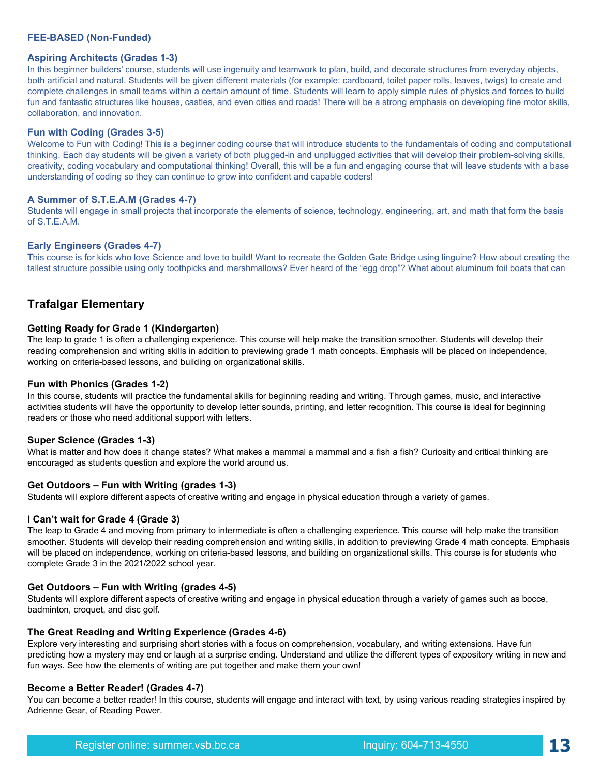#### **FEE-BASED (Non-Funded)**

#### **Aspiring Architects (Grades 1-3)**

In this beginner builders' course, students will use ingenuity and teamwork to plan, build, and decorate structures from everyday objects, both artificial and natural. Students will be given different materials (for example: cardboard, toilet paper rolls, leaves, twigs) to create and complete challenges in small teams within a certain amount of time. Students will learn to apply simple rules of physics and forces to build fun and fantastic structures like houses, castles, and even cities and roads! There will be a strong emphasis on developing fine motor skills, collaboration, and innovation*.*

#### **Fun with Coding (Grades 3-5)**

Welcome to Fun with Coding! This is a beginner coding course that will introduce students to the fundamentals of coding and computational thinking. Each day students will be given a variety of both plugged-in and unplugged activities that will develop their problem-solving skills, creativity, coding vocabulary and computational thinking! Overall, this will be a fun and engaging course that will leave students with a base understanding of coding so they can continue to grow into confident and capable coders!

#### **A Summer of S.T.E.A.M (Grades 4-7)**

Students will engage in small projects that incorporate the elements of science, technology, engineering, art, and math that form the basis of S.T.E.A.M.

#### **Early Engineers (Grades 4-7)**

This course is for kids who love Science and love to build! Want to recreate the Golden Gate Bridge using linguine? How about creating the tallest structure possible using only toothpicks and marshmallows? Ever heard of the "egg drop"? What about aluminum foil boats that can

#### **Trafalgar Elementary**

#### **Getting Ready for Grade 1 (Kindergarten)**

The leap to grade 1 is often a challenging experience. This course will help make the transition smoother. Students will develop their reading comprehension and writing skills in addition to previewing grade 1 math concepts. Emphasis will be placed on independence, working on criteria-based lessons, and building on organizational skills.

#### **Fun with Phonics (Grades 1-2)**

In this course, students will practice the fundamental skills for beginning reading and writing. Through games, music, and interactive activities students will have the opportunity to develop letter sounds, printing, and letter recognition. This course is ideal for beginning readers or those who need additional support with letters. 

#### **Super Science (Grades 1-3)**

What is matter and how does it change states? What makes a mammal a mammal and a fish a fish? Curiosity and critical thinking are encouraged as students question and explore the world around us.

#### **Get Outdoors – Fun with Writing (grades 1-3)**

Students will explore different aspects of creative writing and engage in physical education through a variety of games.

#### **I Can't wait for Grade 4 (Grade 3)**

The leap to Grade 4 and moving from primary to intermediate is often a challenging experience. This course will help make the transition smoother. Students will develop their reading comprehension and writing skills, in addition to previewing Grade 4 math concepts. Emphasis will be placed on independence, working on criteria-based lessons, and building on organizational skills. This course is for students who complete Grade 3 in the 2021/2022 school year.

#### **Get Outdoors – Fun with Writing (grades 4-5)**

Students will explore different aspects of creative writing and engage in physical education through a variety of games such as bocce, badminton, croquet, and disc golf.

#### **The Great Reading and Writing Experience (Grades 4-6)**

Explore very interesting and surprising short stories with a focus on comprehension, vocabulary, and writing extensions. Have fun predicting how a mystery may end or laugh at a surprise ending. Understand and utilize the different types of expository writing in new and fun ways. See how the elements of writing are put together and make them your own!

#### **Become a Better Reader! (Grades 4-7)**

You can become a better reader! In this course, students will engage and interact with text, by using various reading strategies inspired by Adrienne Gear, of Reading Power.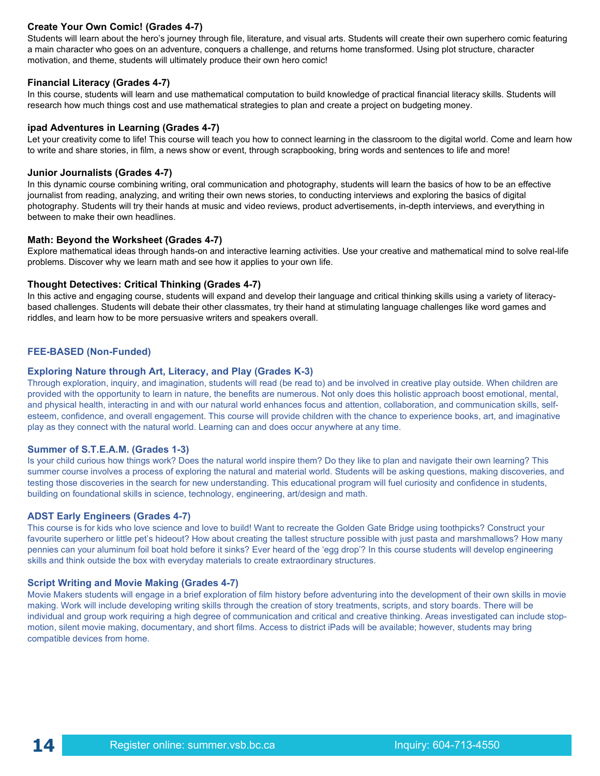#### **Create Your Own Comic! (Grades 4-7)**

Students will learn about the hero's journey through file, literature, and visual arts. Students will create their own superhero comic featuring a main character who goes on an adventure, conquers a challenge, and returns home transformed. Using plot structure, character motivation, and theme, students will ultimately produce their own hero comic!

#### **Financial Literacy (Grades 4-7)**

In this course, students will learn and use mathematical computation to build knowledge of practical financial literacy skills. Students will research how much things cost and use mathematical strategies to plan and create a project on budgeting money.

#### **ipad Adventures in Learning (Grades 4-7)**

Let your creativity come to life! This course will teach you how to connect learning in the classroom to the digital world. Come and learn how to write and share stories, in film, a news show or event, through scrapbooking, bring words and sentences to life and more!

#### **Junior Journalists (Grades 4-7)**

In this dynamic course combining writing, oral communication and photography, students will learn the basics of how to be an effective journalist from reading, analyzing, and writing their own news stories, to conducting interviews and exploring the basics of digital photography. Students will try their hands at music and video reviews, product advertisements, in-depth interviews, and everything in between to make their own headlines.

#### **Math: Beyond the Worksheet (Grades 4-7)**

Explore mathematical ideas through hands-on and interactive learning activities. Use your creative and mathematical mind to solve real-life problems. Discover why we learn math and see how it applies to your own life.

#### **Thought Detectives: Critical Thinking (Grades 4-7)**

In this active and engaging course, students will expand and develop their language and critical thinking skills using a variety of literacybased challenges. Students will debate their other classmates, try their hand at stimulating language challenges like word games and riddles, and learn how to be more persuasive writers and speakers overall.

#### **FEE-BASED (Non-Funded)**

#### **Exploring Nature through Art, Literacy, and Play (Grades K-3)**

Through exploration, inquiry, and imagination, students will read (be read to) and be involved in creative play outside. When children are provided with the opportunity to learn in nature, the benefits are numerous. Not only does this holistic approach boost emotional, mental, and physical health, interacting in and with our natural world enhances focus and attention, collaboration, and communication skills, selfesteem, confidence, and overall engagement. This course will provide children with the chance to experience books, art, and imaginative play as they connect with the natural world. Learning can and does occur anywhere at any time.

#### **Summer of S.T.E.A.M. (Grades 1-3)**

Is your child curious how things work? Does the natural world inspire them? Do they like to plan and navigate their own learning? This summer course involves a process of exploring the natural and material world. Students will be asking questions, making discoveries, and testing those discoveries in the search for new understanding. This educational program will fuel curiosity and confidence in students, building on foundational skills in science, technology, engineering, art/design and math.

#### **ADST Early Engineers (Grades 4-7)**

This course is for kids who love science and love to build! Want to recreate the Golden Gate Bridge using toothpicks? Construct your favourite superhero or little pet's hideout? How about creating the tallest structure possible with just pasta and marshmallows? How many pennies can your aluminum foil boat hold before it sinks? Ever heard of the 'egg drop'? In this course students will develop engineering skills and think outside the box with everyday materials to create extraordinary structures.

#### **Script Writing and Movie Making (Grades 4-7)**

Movie Makers students will engage in a brief exploration of film history before adventuring into the development of their own skills in movie making. Work will include developing writing skills through the creation of story treatments, scripts, and story boards. There will be individual and group work requiring a high degree of communication and critical and creative thinking. Areas investigated can include stopmotion, silent movie making, documentary, and short films. Access to district iPads will be available; however, students may bring compatible devices from home.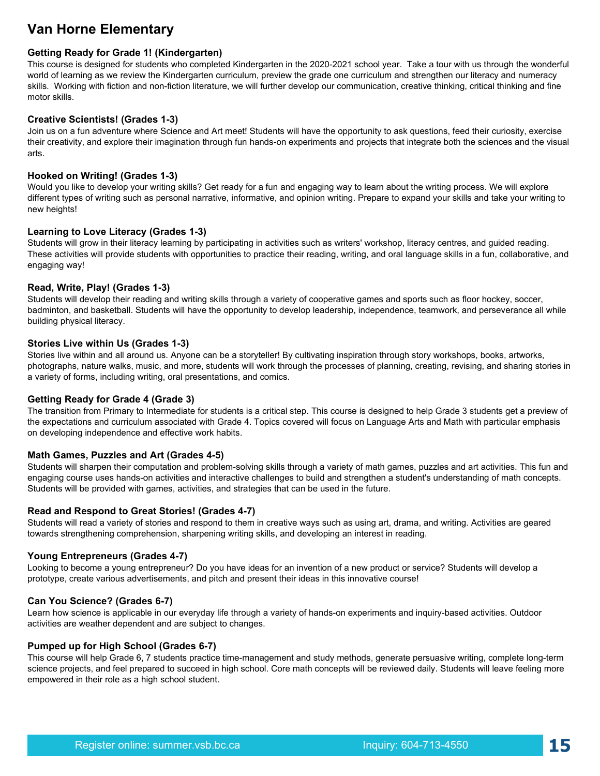## **Van Horne Elementary**

#### **Getting Ready for Grade 1! (Kindergarten)**

This course is designed for students who completed Kindergarten in the 2020-2021 school year. Take a tour with us through the wonderful world of learning as we review the Kindergarten curriculum, preview the grade one curriculum and strengthen our literacy and numeracy skills. Working with fiction and non-fiction literature, we will further develop our communication, creative thinking, critical thinking and fine motor skills.

#### **Creative Scientists! (Grades 1-3)**

Join us on a fun adventure where Science and Art meet! Students will have the opportunity to ask questions, feed their curiosity, exercise their creativity, and explore their imagination through fun hands-on experiments and projects that integrate both the sciences and the visual arts.

#### **Hooked on Writing! (Grades 1-3)**

Would you like to develop your writing skills? Get ready for a fun and engaging way to learn about the writing process. We will explore different types of writing such as personal narrative, informative, and opinion writing. Prepare to expand your skills and take your writing to new heights!

#### **Learning to Love Literacy (Grades 1-3)**

Students will grow in their literacy learning by participating in activities such as writers' workshop, literacy centres, and guided reading. These activities will provide students with opportunities to practice their reading, writing, and oral language skills in a fun, collaborative, and engaging way!

#### **Read, Write, Play! (Grades 1-3)**

Students will develop their reading and writing skills through a variety of cooperative games and sports such as floor hockey, soccer, badminton, and basketball. Students will have the opportunity to develop leadership, independence, teamwork, and perseverance all while building physical literacy.

#### **Stories Live within Us (Grades 1-3)**

Stories live within and all around us. Anyone can be a storyteller! By cultivating inspiration through story workshops, books, artworks, photographs, nature walks, music, and more, students will work through the processes of planning, creating, revising, and sharing stories in a variety of forms, including writing, oral presentations, and comics.

#### **Getting Ready for Grade 4 (Grade 3)**

The transition from Primary to Intermediate for students is a critical step. This course is designed to help Grade 3 students get a preview of the expectations and curriculum associated with Grade 4. Topics covered will focus on Language Arts and Math with particular emphasis on developing independence and effective work habits. 

#### **Math Games, Puzzles and Art (Grades 4-5)**

Students will sharpen their computation and problem-solving skills through a variety of math games, puzzles and art activities. This fun and engaging course uses hands-on activities and interactive challenges to build and strengthen a student's understanding of math concepts. Students will be provided with games, activities, and strategies that can be used in the future.

#### **Read and Respond to Great Stories! (Grades 4-7)**

Students will read a variety of stories and respond to them in creative ways such as using art, drama, and writing. Activities are geared towards strengthening comprehension, sharpening writing skills, and developing an interest in reading.

#### **Young Entrepreneurs (Grades 4-7)**

Looking to become a young entrepreneur? Do you have ideas for an invention of a new product or service? Students will develop a prototype, create various advertisements, and pitch and present their ideas in this innovative course!

#### **Can You Science? (Grades 6-7)**

Learn how science is applicable in our everyday life through a variety of hands-on experiments and inquiry-based activities. Outdoor activities are weather dependent and are subject to changes.

#### **Pumped up for High School (Grades 6-7)**

This course will help Grade 6, 7 students practice time-management and study methods, generate persuasive writing, complete long-term science projects, and feel prepared to succeed in high school. Core math concepts will be reviewed daily. Students will leave feeling more empowered in their role as a high school student.